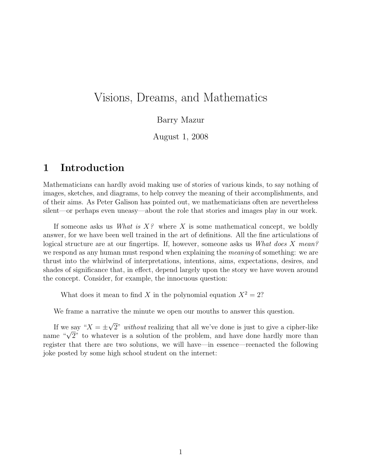# Visions, Dreams, and Mathematics

#### Barry Mazur

August 1, 2008

# 1 Introduction

Mathematicians can hardly avoid making use of stories of various kinds, to say nothing of images, sketches, and diagrams, to help convey the meaning of their accomplishments, and of their aims. As Peter Galison has pointed out, we mathematicians often are nevertheless silent—or perhaps even uneasy—about the role that stories and images play in our work.

If someone asks us *What is*  $X$ ? where X is some mathematical concept, we boldly answer, for we have been well trained in the art of definitions. All the fine articulations of logical structure are at our fingertips. If, however, someone asks us What does X mean? we respond as any human must respond when explaining the *meaning* of something: we are thrust into the whirlwind of interpretations, intentions, aims, expectations, desires, and shades of significance that, in effect, depend largely upon the story we have woven around the concept. Consider, for example, the innocuous question:

What does it mean to find X in the polynomial equation  $X^2 = 2$ ?

We frame a narrative the minute we open our mouths to answer this question.

If we say " $X = \pm$ √ 2" without realizing that all we've done is just to give a cipher-like If we say  $\Lambda = \pm \sqrt{2}$  without realizing that all we ve done is just to give a cipher-like<br>name " $\sqrt{2}$ " to whatever is a solution of the problem, and have done hardly more than register that there are two solutions, we will have—in essence—reenacted the following joke posted by some high school student on the internet: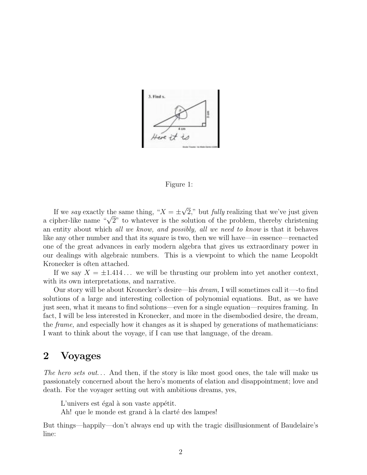

Figure 1:

If we say exactly the same thing, " $X = \pm$ √ 2," but *fully* realizing that we've just given If we say exactly the same thing,  $\Lambda = \pm \sqrt{2}$ , but *fully* realizing that we ve just given<br>a cipher-like name " $\sqrt{2}$ " to whatever is the solution of the problem, thereby christening an entity about which all we know, and possibly, all we need to know is that it behaves like any other number and that its square is two, then we will have—in essence—reenacted one of the great advances in early modern algebra that gives us extraordinary power in our dealings with algebraic numbers. This is a viewpoint to which the name Leopoldt Kronecker is often attached.

If we say  $X = \pm 1.414...$  we will be thrusting our problem into yet another context, with its own interpretations, and narrative.

Our story will be about Kronecker's desire—his dream, I will sometimes call it—-to find solutions of a large and interesting collection of polynomial equations. But, as we have just seen, what it means to find solutions—even for a single equation—requires framing. In fact, I will be less interested in Kronecker, and more in the disembodied desire, the dream, the *frame*, and especially how it changes as it is shaped by generations of mathematicians: I want to think about the voyage, if I can use that language, of the dream.

### 2 Voyages

The hero sets out... And then, if the story is like most good ones, the tale will make us passionately concerned about the hero's moments of elation and disappointment; love and death. For the voyager setting out with ambitious dreams, yes,

L'univers est égal à son vaste appétit.

Ah! que le monde est grand à la clarté des lampes!

But things—happily—don't always end up with the tragic disillusionment of Baudelaire's line: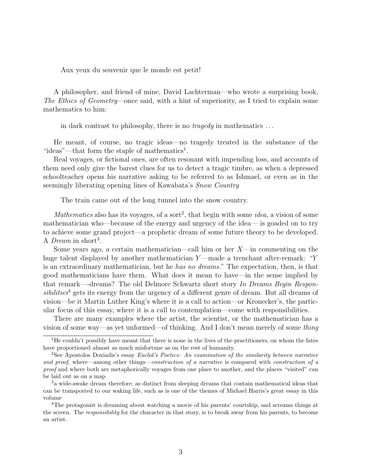Aux yeux du souvenir que le monde est petit!

A philosopher, and friend of mine, David Lachterman—who wrote a surprising book, The Ethics of Geometry—once said, with a hint of superiority, as I tried to explain some mathematics to him:

in dark contrast to philosophy, there is no  $tragedy$  in mathematics  $\dots$ 

He meant, of course, no tragic ideas—no tragedy treated in the substance of the "ideas"—that form the staple of mathematics<sup>1</sup>.

Real voyages, or fictional ones, are often resonant with impending loss, and accounts of them need only give the barest clues for us to detect a tragic timbre, as when a depressed schoolteacher opens his narrative asking to be referred to as Ishmael, or even as in the seemingly liberating opening lines of Kawabata's Snow Country

The train came out of the long tunnel into the snow country.

Mathematics also has its voyages, of a sort<sup>2</sup>, that begin with some *idea*, a vision of some mathematician who—because of the energy and urgency of the idea— is goaded on to try to achieve some grand project—a prophetic dream of some future theory to be developed. A *Dream* in short<sup>3</sup>.

Some years ago, a certain mathematician—call him or her  $X$ —in commenting on the huge talent displayed by another mathematician  $Y$ —made a trenchant after-remark: "Y is an extraordinary mathematician, but he has no dreams." The expectation, then, is that good mathematicians have them. What does it mean to have—in the sense implied by that remark—-dreams? The old Delmore Schwartz short story In Dreams Begin Responsibilities<sup>4</sup> gets its energy from the urgency of a different genre of dream. But all dreams of vision—be it Martin Luther King's where it is a call to action—or Kronecker's, the particular focus of this essay, where it is a call to contemplation—come with responsibilities.

There are many examples where the artist, the scientist, or the mathematician has a vision of some way—as yet unformed—of thinking. And I don't mean merely of some thing

<sup>&</sup>lt;sup>1</sup>He couldn't possibly have meant that there is none in the lives of the practitioners, on whom the fates have proportioned almost as much misfortune as on the rest of humanity.

<sup>&</sup>lt;sup>2</sup>See Apostolos Doxiadis's essay *Euclid's Poetics: An examination of the similarity between narrative* and proof, where—among other things—construction of a narrative is compared with construction of a proof and where both are metaphorically voyages from one place to another, and the places "visited" can be laid out as on a map

<sup>&</sup>lt;sup>3</sup>a wide-awake dream therefore; as distinct from sleeping dreams that contain mathematical ideas that can be transported to our waking life, such as is one of the themes of Michael Harris's great essay in this volume

<sup>4</sup>The protagonist is dreaming about watching a movie of his parents' courtship, and screams things at the screen. The responsibility for the character in that story, is to break away from his parents, to become an artist.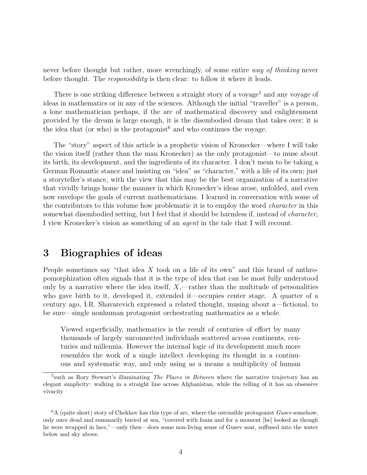never before thought but rather, more wrenchingly, of some entire way of thinking never before thought. The *responsibility* is then clear: to follow it where it leads.

There is one striking difference between a straight story of a voyage<sup>5</sup> and any voyage of ideas in mathematics or in any of the sciences. Although the initial "traveller" is a person, a lone mathematician perhaps, if the arc of mathematical discovery and enlightenment provided by the dream is large enough, it is the disembodied dream that takes over; it is the idea that (or who) is the protagonist<sup>6</sup> and who continues the voyage.

The "story" aspect of this article is a prophetic vision of Kronecker—where I will take the vision itself (rather than the man Kronecker) as the only protagonist—to muse about its birth, its development, and the ingredients of its character. I don't mean to be taking a German Romantic stance and insisting on "idea" as "character," with a life of its own; just a storyteller's stance, with the view that this may be the best organization of a narrative that vividly brings home the manner in which Kronecker's ideas arose, unfolded, and even now envelope the goals of current mathematicians. I learned in conversation with some of the contributors to this volume how problematic it is to employ the word character in this somewhat disembodied setting, but I feel that it should be harmless if, instead of *character*, I view Kronecker's vision as something of an agent in the tale that I will recount.

## 3 Biographies of ideas

People sometimes say "that idea  $X$  took on a life of its own" and this brand of anthropomorphization often signals that it is the type of idea that can be most fully understood only by a narrative where the idea itself,  $X$ ,—rather than the multitude of personalities who gave birth to it, developed it, extended it—occupies center stage. A quarter of a century ago, I.R. Shavarevich expressed a related thought, musing about a—fictional, to be sure—single nonhuman protagonist orchestrating mathematics as a whole.

Viewed superficially, mathematics is the result of centuries of effort by many thousands of largely unconnected individuals scattered across continents, centuries and millennia. However the internal logic of its development much more resembles the work of a single intellect developing its thought in a continuous and systematic way, and only using as a means a multiplicity of human

<sup>&</sup>lt;sup>5</sup>such as Rory Stewart's illuminating *The Places in Between* where the narrative trajectory has an elegant simplicity: walking in a straight line across Afghanistan, while the telling of it has an obsessive vivacity

 ${}^{6}A$  (quite short) story of Chekhov has this type of arc, where the ostensible protagonist Gusev somehow, only once dead and summarily buried at sea, "covered with foam and for a moment [he] looked as though he were wrapped in lace,"—only then—does some non-living sense of Gusev soar, suffused into the water below and sky above.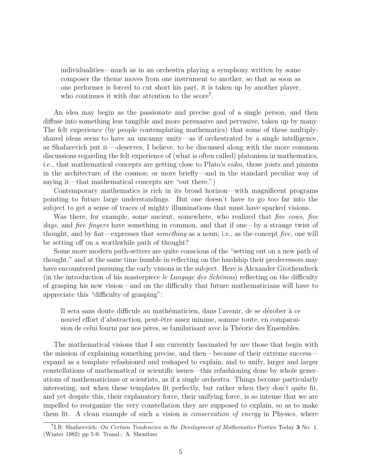individualities—much as in an orchestra playing a symphony written by some composer the theme moves from one instrument to another, so that as soon as one performer is forced to cut short his part, it is taken up by another player, who continues it with due attention to the score<sup>7</sup>.

An idea may begin as the passionate and precise goal of a single person, and then diffuse into something less tangible and more persuasive and pervasive, taken up by many. The felt experience (by people contemplating mathematics) that some of these multiplyshared ideas seem to have an uncanny unity—as if orchestrated by a single intelligence, as Shafarevich put it—-deserves, I believe, to be discussed along with the more common discussions regarding the felt experience of (what is often called) platonism in mathematics, i.e., that mathematical concepts are getting close to Plato's eidoi, those joists and pinions in the architecture of the cosmos; or more briefly—and in the standard peculiar way of saying it—that mathematical concepts are "out there.")

Contemporary mathematics is rich in its broad horizon—with magnificent programs pointing to future large understandings. But one doesn't have to go too far into the subject to get a sense of traces of mighty illuminations that must have sparked visions.

Was there, for example, some ancient, somewhere, who realized that *five cows, five* days, and five fingers have something in common, and that if one—by a strange twist of thought, and by fiat—expresses that something as a noun, i.e., as the concept five, one will be setting off on a worthwhile path of thought?

Some more modern path-setters are quite conscious of the "setting out on a new path of thought," and at the same time humble in reflecting on the hardship their predecessors may have encountered pursuing the early visions in the subject. Here is Alexander Grothendieck (in the introduction of his masterpiece le Langage des  $Schémas$ ) reflecting on the difficulty of grasping his new vision—and on the difficulty that future mathematicians will have to appreciate this "difficulty of grasping":

Il sera sans doute difficule au mathématicien, dans l'avenir, de se dérober à ce nouvel effort d'abstraction, peut-être assez minime, somme toute, en comparaision de celui fourni par nos péres, se familarisant avec la Théorie des Ensembles.

The mathematical visions that I am currently fascinated by are those that begin with the mission of explaining something precise, and then—because of their extreme success expand as a template refashioned and reshaped to explain, and to unify, larger and larger constellations of mathematical or scientific issues—this refashioning done by whole generations of mathematicians or scientists, as if a single orchestra. Things become particularly interesting, not when these templates fit perfectly, but rather when they don't quite fit, and yet despite this, their explanatory force, their unifying force, is so intense that we are impelled to reorganize the very constellation they are supposed to explain, so as to make them fit. A clean example of such a vision is *conservation of energy* in Physics, where

<sup>&</sup>lt;sup>7</sup>I.R. Shafarevich: On Certain Tendencies in the Development of Mathematics Poetics Today 3 No. 1. (Winter 1982) pp 5-9. Transl.: A. Shenitzer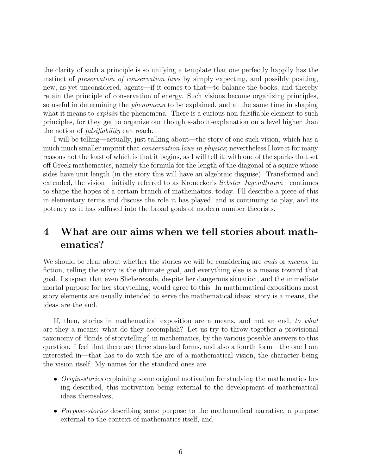the clarity of such a principle is so unifying a template that one perfectly happily has the instinct of preservation of conservation laws by simply expecting, and possibly positing, new, as yet unconsidered, agents—if it comes to that—to balance the books, and thereby retain the principle of conservation of energy. Such visions become organizing principles, so useful in determining the phenomena to be explained, and at the same time in shaping what it means to *explain* the phenomena. There is a curious non-falsifiable element to such principles, for they get to organize our thoughts-about-explanation on a level higher than the notion of falsifiability can reach.

I will be telling—actually, just talking about—the story of one such vision, which has a much much smaller imprint that *conservation laws in physics*; nevertheless I love it for many reasons not the least of which is that it begins, as I will tell it, with one of the sparks that set off Greek mathematics, namely the formula for the length of the diagonal of a square whose sides have unit length (in the story this will have an algebraic disguise). Transformed and extended, the vision—initially referred to as Kronecker's *liebster Jugendtraum*—continues to shape the hopes of a certain branch of mathematics, today. I'll describe a piece of this in elementary terms and discuss the role it has played, and is continuing to play, and its potency as it has suffused into the broad goals of modern number theorists.

# 4 What are our aims when we tell stories about mathematics?

We should be clear about whether the stories we will be considering are ends or means. In fiction, telling the story is the ultimate goal, and everything else is a means toward that goal. I suspect that even Sheherezade, despite her dangerous situation, and the immediate mortal purpose for her storytelling, would agree to this. In mathematical expositions most story elements are usually intended to serve the mathematical ideas: story is a means, the ideas are the end.

If, then, stories in mathematical exposition are a means, and not an end, to what are they a means: what do they accomplish? Let us try to throw together a provisional taxonomy of "kinds of storytelling" in mathematics, by the various possible answers to this question. I feel that there are three standard forms, and also a fourth form—the one I am interested in—that has to do with the arc of a mathematical vision, the character being the vision itself. My names for the standard ones are

- *Origin-stories* explaining some original motivation for studying the mathematics being described, this motivation being external to the development of mathematical ideas themselves,
- Purpose-stories describing some purpose to the mathematical narrative, a purpose external to the context of mathematics itself, and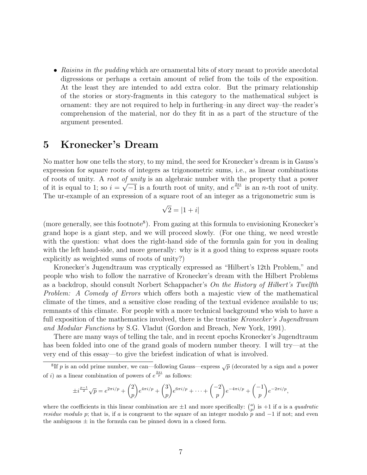• Raisins in the pudding which are ornamental bits of story meant to provide anecdotal digressions or perhaps a certain amount of relief from the toils of the exposition. At the least they are intended to add extra color. But the primary relationship of the stories or story-fragments in this category to the mathematical subject is ornament: they are not required to help in furthering–in any direct way–the reader's comprehension of the material, nor do they fit in as a part of the structure of the argument presented.

### 5 Kronecker's Dream

No matter how one tells the story, to my mind, the seed for Kronecker's dream is in Gauss's expression for square roots of integers as trigonometric sums, i.e., as linear combinations of roots of unity. A *root of unity* is an algebraic number with the property that a power of it is equal to 1; so  $i = \sqrt{-1}$  is a fourth root of unity, and  $e^{\frac{2\pi i}{n}}$  is an *n*-th root of unity. The ur-example of an expression of a square root of an integer as a trigonometric sum is

$$
\sqrt{2} = |1 + i|
$$

(more generally, see this footnote<sup>8</sup>). From gazing at this formula to envisioning Kronecker's grand hope is a giant step, and we will proceed slowly. (For one thing, we need wrestle with the question: what does the right-hand side of the formula gain for you in dealing with the left hand-side, and more generally: why is it a good thing to express square roots explicitly as weighted sums of roots of unity?)

Kronecker's Jugendtraum was cryptically expressed as "Hilbert's 12th Problem," and people who wish to follow the narrative of Kronecker's dream with the Hilbert Problems as a backdrop, should consult Norbert Schappacher's  $On$  the History of Hilbert's Twelfth Problem: A Comedy of Errors which offers both a majestic view of the mathematical climate of the times, and a sensitive close reading of the textual evidence available to us; remnants of this climate. For people with a more technical background who wish to have a full exposition of the mathematics involved, there is the treatise Kronecker's Jugendtraum and Modular Functions by S.G. Vladut (Gordon and Breach, New York, 1991).

There are many ways of telling the tale, and in recent epochs Kronecker's Jugendtraum has been folded into one of the grand goals of modern number theory. I will try—at the very end of this essay—to give the briefest indication of what is involved.

$$
\pm i^{\frac{p-1}{2}}\sqrt{p} = e^{2\pi i/p} + {2 \choose p}e^{4\pi i/p} + {3 \choose p}e^{6\pi i/p} + \cdots + {2 \choose p}e^{-4\pi i/p} + {1 \choose p}e^{-2\pi i/p},
$$

<sup>&</sup>lt;sup>8</sup>If p is an odd prime number, we can—following Gauss—express  $\sqrt{p}$  (decorated by a sign and a power of i) as a linear combination of powers of  $e^{\frac{2\pi i}{p}}$  as follows:

where the coefficients in this linear combination are  $\pm 1$  and more specifically:  $\binom{a}{p}$  is  $+1$  if a is a quadratic residue modulo p; that is, if a is congruent to the square of an integer modulo p and  $-1$  if not; and even the ambiguous  $\pm$  in the formula can be pinned down in a closed form.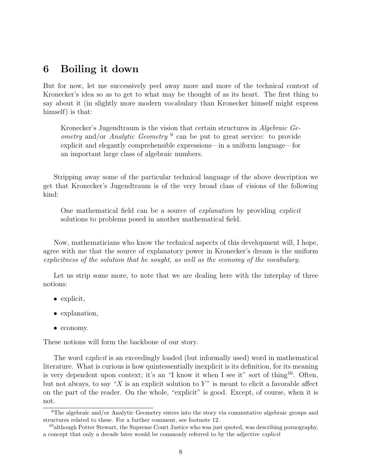# 6 Boiling it down

But for now, let me successively peel away more and more of the technical context of Kronecker's idea so as to get to what may be thought of as its heart. The first thing to say about it (in slightly more modern vocabulary than Kronecker himself might express himself) is that:

Kronecker's Jugendtraum is the vision that certain structures in Algebraic Geometry and/or Analytic Geometry<sup>9</sup> can be put to great service: to provide explicit and elegantly comprehensible expressions—in a uniform language—for an important large class of algebraic numbers.

Stripping away some of the particular technical language of the above description we get that Kronecker's Jugendtraum is of the very broad class of visions of the following kind:

One mathematical field can be a source of explanation by providing explicit solutions to problems posed in another mathematical field.

Now, mathematicians who know the technical aspects of this development will, I hope, agree with me that the source of explanatory power in Kronecker's dream is the uniform explicitness of the solution that he sought, as well as the economy of the vocabulary.

Let us strip some more, to note that we are dealing here with the interplay of three notions:

- explicit,
- explanation,
- economy.

These notions will form the backbone of our story.

The word *explicit* is an exceedingly loaded (but informally used) word in mathematical literature. What is curious is how quintessentially inexplicit is its definition, for its meaning is very dependent upon context; it's an "I know it when I see it" sort of thing<sup>10</sup>. Often, but not always, to say "X is an explicit solution to Y" is meant to elicit a favorable affect on the part of the reader. On the whole, "explicit" is good. Except, of course, when it is not.

<sup>&</sup>lt;sup>9</sup>The algebraic and/or Analytic Geometry enters into the story via commutative algebraic groups and structures related to these. For a further comment, see footnote 12.

 $10$ although Potter Stewart, the Supreme Court Justice who was just quoted, was describing pornography, a concept that only a decade later would be commonly referred to by the adjective explicit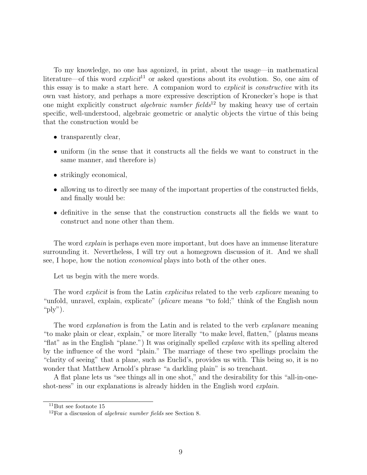To my knowledge, no one has agonized, in print, about the usage—in mathematical literature—of this word  $explicit<sup>11</sup>$  or asked questions about its evolution. So, one aim of this essay is to make a start here. A companion word to explicit is constructive with its own vast history, and perhaps a more expressive description of Kronecker's hope is that one might explicitly construct *algebraic number fields*<sup>12</sup> by making heavy use of certain specific, well-understood, algebraic geometric or analytic objects the virtue of this being that the construction would be

- transparently clear,
- uniform (in the sense that it constructs all the fields we want to construct in the same manner, and therefore is)
- strikingly economical,
- allowing us to directly see many of the important properties of the constructed fields, and finally would be:
- definitive in the sense that the construction constructs all the fields we want to construct and none other than them.

The word explain is perhaps even more important, but does have an immense literature surrounding it. Nevertheless, I will try out a homegrown discussion of it. And we shall see, I hope, how the notion economical plays into both of the other ones.

Let us begin with the mere words.

The word *explicit* is from the Latin *explicitus* related to the verb *explicare* meaning to "unfold, unravel, explain, explicate" (*plicare* means "to fold;" think of the English noun " $\text{ply"}.$ 

The word *explanation* is from the Latin and is related to the verb *explanare* meaning "to make plain or clear, explain," or more literally "to make level, flatten," (planus means "flat" as in the English "plane.") It was originally spelled explane with its spelling altered by the influence of the word "plain." The marriage of these two spellings proclaim the "clarity of seeing" that a plane, such as Euclid's, provides us with. This being so, it is no wonder that Matthew Arnold's phrase "a darkling plain" is so trenchant.

A flat plane lets us "see things all in one shot," and the desirability for this "all-in-oneshot-ness" in our explanations is already hidden in the English word *explain*.

 $^{11}\rm{But}$  see footnote  $15$ 

 $12$ For a discussion of *algebraic number fields* see Section 8.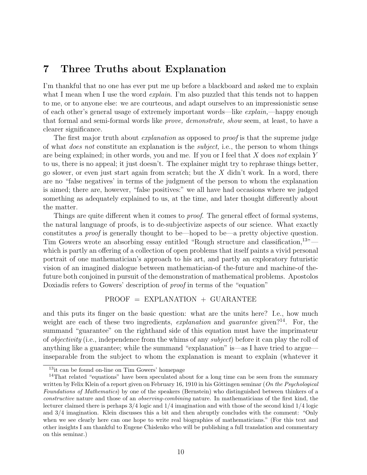# 7 Three Truths about Explanation

I'm thankful that no one has ever put me up before a blackboard and asked me to explain what I mean when I use the word *explain*. I'm also puzzled that this tends not to happen to me, or to anyone else: we are courteous, and adapt ourselves to an impressionistic sense of each other's general usage of extremely important words—like explain,—happy enough that formal and semi-formal words like prove, demonstrate, show seem, at least, to have a clearer significance.

The first major truth about *explanation* as opposed to *proof* is that the supreme judge of what does not constitute an explanation is the subject, i.e., the person to whom things are being explained; in other words, you and me. If you or I feel that X does not explain Y to us, there is no appeal; it just doesn't. The explainer might try to rephrase things better, go slower, or even just start again from scratch; but the  $X$  didn't work. In a word, there are no "false negatives' in terms of the judgment of the person to whom the explanation is aimed; there are, however, "false positives:" we all have had occasions where we judged something as adequately explained to us, at the time, and later thought differently about the matter.

Things are quite different when it comes to *proof*. The general effect of formal systems, the natural language of proofs, is to de-subjectivize aspects of our science. What exactly constitutes a proof is generally thought to be—hoped to be—a pretty objective question. Tim Gowers wrote an absorbing essay entitled "Rough structure and classification, $13"$  which is partly an offering of a collection of open problems that itself paints a vivid personal portrait of one mathematician's approach to his art, and partly an exploratory futuristic vision of an imagined dialogue between mathematician-of the-future and machine-of thefuture both conjoined in pursuit of the demonstration of mathematical problems. Apostolos Doxiadis refers to Gowers' description of *proof* in terms of the "equation"

#### $PROOF = EXPLANATION + GUARANTEE$

and this puts its finger on the basic question: what are the units here? I.e., how much weight are each of these two ingredients, *explanation* and *guarantee* given?<sup>14</sup>. For, the summand "guarantee" on the righthand side of this equation must have the imprimateur of objectivity (i.e., independence from the whims of any subject) before it can play the roll of anything like a guarantee; while the summand "explanation" is—as I have tried to argue inseparable from the subject to whom the explanation is meant to explain (whatever it

<sup>13</sup>it can be found on-line on Tim Gowers' homepage

<sup>&</sup>lt;sup>14</sup>That related "equations" have been speculated about for a long time can be seen from the summary written by Felix Klein of a report given on February 16, 1910 in his Göttingen seminar (On the Psychological Foundations of Mathematics) by one of the speakers (Bernstein) who distinguished between thinkers of a constructive nature and those of an observing-combining nature. In mathematicians of the first kind, the lecturer claimed there is perhaps 3/4 logic and 1/4 imagination and with those of the second kind 1/4 logic and 3/4 imagination. Klein discusses this a bit and then abruptly concludes with the comment: "Only when we see clearly here can one hope to write real biographies of mathematicians." (For this text and other insights I am thankful to Eugene Chislenko who will be publishing a full translation and commentary on this seminar.)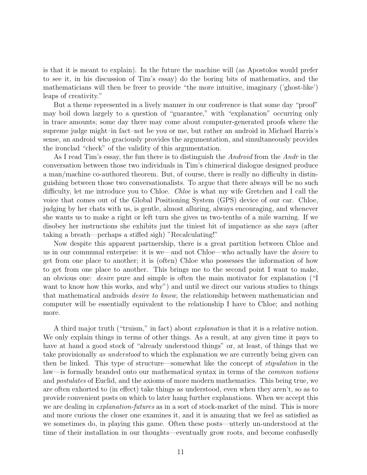is that it is meant to explain). In the future the machine will (as Apostolos would prefer to see it, in his discussion of Tim's essay) do the boring bits of mathematics, and the mathematicians will then be freer to provide "the more intuitive, imaginary ('ghost-like') leaps of creativity."

But a theme represented in a lively manner in our conference is that some day "proof" may boil down largely to a question of "guarantee," with "explanation" occurring only in trace amounts; some day there may come about computer-generated proofs where the supreme judge might–in fact–not be you or me, but rather an android in Michael Harris's sense, an android who graciously provides the argumentation, and simultaneously provides the ironclad "check" of the validity of this argumentation.

As I read Tim's essay, the fun there is to distinguish the *Android* from the *Andr* in the conversation between those two individuals in Tim's chimerical dialogue designed produce a man/machine co-authored theorem. But, of course, there is really no difficulty in distinguishing between those two conversationalists. To argue that there always will be no such difficulty, let me introduce you to Chloe. Chloe is what my wife Gretchen and I call the voice that comes out of the Global Positioning System (GPS) device of our car. Chloe, judging by her chats with us, is gentle, almost alluring, always encouraging, and whenever she wants us to make a right or left turn she gives us two-tenths of a mile warning. If we disobey her instructions she exhibits just the tiniest bit of impatience as she says (after taking a breath—perhaps a stifled sigh) "Recalculating!"

Now despite this apparent partnership, there is a great partition between Chloe and us in our communal enterprise: it is we—and not Chloe—who actually have the desire to get from one place to another; it is (often) Chloe who possesses the information of how to get from one place to another. This brings me to the second point I want to make, an obvious one: desire pure and simple is often the main motivator for explanation ("I want to know how this works, and why") and until we direct our various studies to things that mathematical androids desire to know, the relationship between mathematician and computer will be essentially equivalent to the relationship I have to Chloe; and nothing more.

A third major truth ("truism," in fact) about *explanation* is that it is a relative notion. We only explain things in terms of other things. As a result, at any given time it pays to have at hand a good stock of "already understood things" or, at least, of things that we take provisionally as understood to which the explanation we are currently being given can then be linked. This type of structure—somewhat like the concept of stipulation in the law—is formally branded onto our mathematical syntax in terms of the common notions and postulates of Euclid, and the axioms of more modern mathematics. This being true, we are often exhorted to (in effect) take things as understood, even when they aren't, so as to provide convenient posts on which to later hang further explanations. When we accept this we are dealing in *explanation-futures* as in a sort of stock-market of the mind. This is more and more curious the closer one examines it, and it is amazing that we feel as satisfied as we sometimes do, in playing this game. Often these posts—utterly un-understood at the time of their installation in our thoughts—eventually grow roots, and become confusedly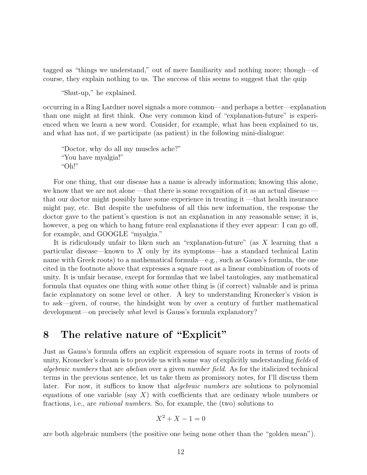tagged as "things we understand," out of mere familiarity and nothing more; though—of course, they explain nothing to us. The success of this seems to suggest that the quip

"Shut-up," he explained.

occurring in a Ring Lardner novel signals a more common—and perhaps a better—explanation than one might at first think. One very common kind of "explanation-future" is experienced when we learn a new word. Consider, for example, what has been explained to us, and what has not, if we participate (as patient) in the following mini-dialogue:

"Doctor, why do all my muscles ache?" "You have myalgia!" "Oh!"

For one thing, that our disease has a name is already information; knowing this alone, we know that we are not alone —that there is some recognition of it as an actual disease that our doctor might possibly have some experience in treating it —that health insurance might pay, etc. But despite the usefulness of all this new information, the response the doctor gave to the patient's question is not an explanation in any reasonable sense; it is, however, a peg on which to hang future real explanations if they ever appear: I can go off, for example, and GOOGLE "myalgia."

It is ridiculously unfair to liken such an "explanation-future" (as X learning that a particular disease—known to X only by its symptoms—has a standard technical Latin name with Greek roots) to a mathematical formula—e.g., such as Gauss's formula, the one cited in the footnote above that expresses a square root as a linear combination of roots of unity. It is unfair because, except for formulas that we label tautologies, any mathematical formula that equates one thing with some other thing is (if correct) valuable and is prima facie explanatory on some level or other. A key to understanding Kronecker's vision is to ask—given, of course, the hindsight won by over a century of further mathematical development—on precisely what level is Gauss's formula explanatory?

## 8 The relative nature of "Explicit"

Just as Gauss's formula offers an explicit expression of square roots in terms of roots of unity, Kronecker's dream is to provide us with some way of explicitly understanding fields of algebraic numbers that are abelian over a given number field. As for the italicized technical terms in the previous sentence, let us take them as promissory notes, for I'll discuss them later. For now, it suffices to know that *algebraic numbers* are solutions to polynomial equations of one variable (say  $X$ ) with coefficients that are ordinary whole numbers or fractions, i.e., are rational numbers. So, for example, the (two) solutions to

$$
X^2 + X - 1 = 0
$$

are both algebraic numbers (the positive one being none other than the "golden mean").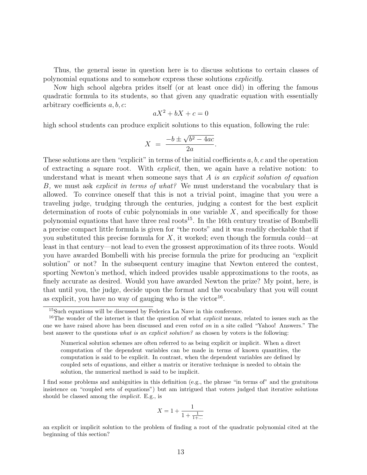Thus, the general issue in question here is to discuss solutions to certain classes of polynomial equations and to somehow express these solutions explicitly.

Now high school algebra prides itself (or at least once did) in offering the famous quadratic formula to its students, so that given any quadratic equation with essentially arbitrary coefficients  $a, b, c$ :

$$
aX^2 + bX + c = 0
$$

high school students can produce explicit solutions to this equation, following the rule:

$$
X = \frac{-b \pm \sqrt{b^2 - 4ac}}{2a}.
$$

These solutions are then "explicit" in terms of the initial coefficients  $a, b, c$  and the operation of extracting a square root. With explicit, then, we again have a relative notion: to understand what is meant when someone says that  $A$  is an explicit solution of equation B, we must ask explicit in terms of what? We must understand the vocabulary that is allowed. To convince oneself that this is not a trivial point, imagine that you were a traveling judge, trudging through the centuries, judging a contest for the best explicit determination of roots of cubic polynomials in one variable  $X$ , and specifically for those polynomial equations that have three real roots<sup>15</sup>. In the 16th century treatise of Bombelli a precise compact little formula is given for "the roots" and it was readily checkable that if you substituted this precise formula for  $X$ , it worked; even though the formula could—at least in that century—not lead to even the grossest approximation of its three roots. Would you have awarded Bombelli with his precise formula the prize for producing an "explicit solution" or not? In the subsequent century imagine that Newton entered the contest, sporting Newton's method, which indeed provides usable approximations to the roots, as finely accurate as desired. Would you have awarded Newton the prize? My point, here, is that until you, the judge, decide upon the format and the vocabulary that you will count as explicit, you have no way of gauging who is the victor<sup>16</sup>.

I find some problems and ambiguities in this definition (e.g., the phrase "in terms of" and the gratuitous insistence on "coupled sets of equations") but am intrigued that voters judged that iterative solutions should be classed among the implicit. E.g., is

$$
X = 1 + \frac{1}{1 + \frac{1}{1 + \dots}}
$$

an explicit or implicit solution to the problem of finding a root of the quadratic polynomial cited at the beginning of this section?

<sup>15</sup>Such equations will be discussed by Federica La Nave in this conference.

<sup>&</sup>lt;sup>16</sup>The wonder of the internet is that the question of what *explicit* means, related to issues such as the one we have raised above has been discussed and even voted on in a site called "Yahoo! Answers." The best answer to the questions what is an explicit solution? as chosen by voters is the following:

Numerical solution schemes are often referred to as being explicit or implicit. When a direct computation of the dependent variables can be made in terms of known quantities, the computation is said to be explicit. In contrast, when the dependent variables are defined by coupled sets of equations, and either a matrix or iterative technique is needed to obtain the solution, the numerical method is said to be implicit.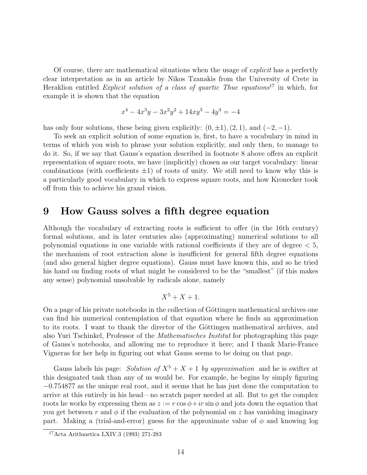Of course, there are mathematical situations when the usage of *explicit* has a perfectly clear interpretation as in an article by Nikos Tzanakis from the University of Crete in Heraklion entitled Explicit solution of a class of quartic Thue equations<sup>17</sup> in which, for example it is shown that the equation

$$
x^4 - 4x^3y - 3x^2y^2 + 14xy^3 - 4y^4 = -4
$$

has only four solutions, these being given explicitly:  $(0, \pm 1), (2, 1),$  and  $(-2, -1)$ .

To seek an explicit solution of some equation is, first, to have a vocabulary in mind in terms of which you wish to phrase your solution explicitly, and only then, to manage to do it. So, if we say that Gauss's equation described in footnote 8 above offers an explicit representation of square roots, we have (implicitly) chosen as our target vocabulary: linear combinations (with coefficients  $\pm 1$ ) of roots of unity. We still need to know why this is a particularly good vocabulary in which to express square roots, and how Kronecker took off from this to achieve his grand vision.

### 9 How Gauss solves a fifth degree equation

Although the vocabulary of extracting roots is sufficient to offer (in the 16th century) formal solutions, and in later centuries also (approximating) numerical solutions to all polynomial equations in one variable with rational coefficients if they are of degree  $< 5$ , the mechanism of root extraction alone is insufficient for general fifth degree equations (and also general higher degree equations). Gauss must have known this, and so he tried his hand on finding roots of what might be considered to be the "smallest" (if this makes any sense) polynomial unsolvable by radicals alone, namely

$$
X^5 + X + 1.
$$

On a page of his private notebooks in the collection of Göttingen mathematical archives one can find his numerical contemplation of that equation where he finds an approximation to its roots. I want to thank the director of the Göttingen mathematical archives, and also Yuri Tschinkel, Professor of the Mathematisches Institut for photographing this page of Gauss's notebooks, and allowing me to reproduce it here; and I thank Marie-France Vigneras for her help in figuring out what Gauss seems to be doing on that page.

Gauss labels his page: Solution of  $X^5 + X + 1$  by approximation and he is swifter at this designated task than any of us would be. For example, he begins by simply figuring −0.754877 as the unique real root, and it seems that he has just done the computation to arrive at this entirely in his head—no scratch paper needed at all. But to get the complex roots he works by expressing them as  $z := r \cos \phi + ir \sin \phi$  and jots down the equation that you get between r and  $\phi$  if the evaluation of the polynomial on z has vanishing imaginary part. Making a (trial-and-error) guess for the approximate value of  $\phi$  and knowing log

<sup>17</sup>Acta Arithmetica LXIV.3 (1993) 271-283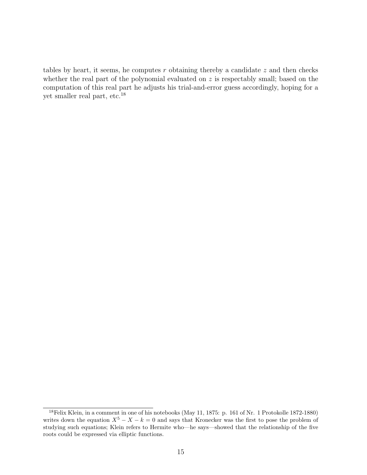tables by heart, it seems, he computes  $r$  obtaining thereby a candidate  $z$  and then checks whether the real part of the polynomial evaluated on  $z$  is respectably small; based on the computation of this real part he adjusts his trial-and-error guess accordingly, hoping for a yet smaller real part, etc.<sup>18</sup>

<sup>18</sup>Felix Klein, in a comment in one of his notebooks (May 11, 1875: p. 161 of Nr. 1 Protokolle 1872-1880) writes down the equation  $X^5 - X - k = 0$  and says that Kronecker was the first to pose the problem of studying such equations; Klein refers to Hermite who—he says—showed that the relationship of the five roots could be expressed via elliptic functions.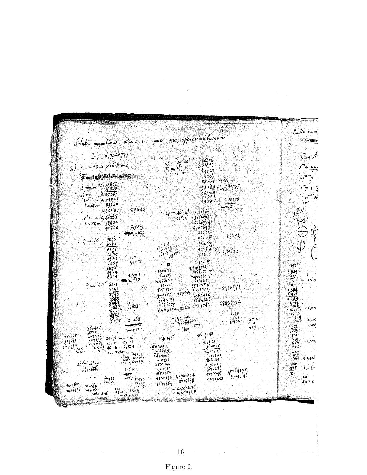| Solutio aquationis $x + x + 1 = 0$ per approximationem              |                                                                                                                               |                           | Radix securi                                |
|---------------------------------------------------------------------|-------------------------------------------------------------------------------------------------------------------------------|---------------------------|---------------------------------------------|
|                                                                     |                                                                                                                               |                           |                                             |
|                                                                     |                                                                                                                               |                           |                                             |
| $I_1 = 0.7548777$                                                   |                                                                                                                               |                           | $a^n + d$                                   |
|                                                                     | $\begin{array}{l} \varphi=\frac{sg^{2}50^{f}}{10^{g}}e^{f}\\ \frac{sq}{4lr}=\frac{1}{2}e^{f} \end{array}$                     | 9,80656                   |                                             |
| $\left(\frac{1}{2}\right)$ r $t$ sin 5 $\phi$ + $t$ sin $\phi = 0$  | 9,51629                                                                                                                       |                           | $x^{n}$ + $n_{n}$                           |
|                                                                     | 29027                                                                                                                         |                           |                                             |
| T = 39 <sup>9</sup> 39 <del>rangen =</del> 1                        | 7257.                                                                                                                         |                           |                                             |
| $2 - 9.79887$                                                       |                                                                                                                               | $88551$ and $\frac{1}{2}$ |                                             |
| 1.41300                                                             |                                                                                                                               | 95788 - 5,990577          | $x^{\prime\prime}y + \frac{n}{x}$           |
| $41r$ , $5,38587$                                                   | 36284<br>97523                                                                                                                |                           |                                             |
| $l r = q, qqb47$                                                    |                                                                                                                               | .998072.18148             | $\frac{r^{n-r}j\omega}{n+r}$                |
| $l \cos \varphi = -8 \dot{q} \, 050$<br>91 July 2                   |                                                                                                                               | $-0,28$                   |                                             |
| $0,98697$ 0.97045                                                   | 9,80867<br>$q = 40^{o} 4^{l}$                                                                                                 |                           |                                             |
| $\zeta(r) = 0.48236$                                                | 2154092<br>$1.20^{\circ}20^{\prime}$                                                                                          |                           |                                             |
| $-L$ coss $\varphi = -98.494$                                       | 0.26774                                                                                                                       |                           |                                             |
| 2,9329<br>46730                                                     | 0,06693                                                                                                                       |                           | $\widehat{\mathbb{A}}$ is $\widehat{\beta}$ |
| $\bullet$ <sub>r</sub> q625                                         | 88383                                                                                                                         | $a, 95076$ 89282          |                                             |
| 7893<br>$q = 38$                                                    |                                                                                                                               |                           |                                             |
| 2097                                                                | 33467<br><b>1000 - 1000 - 1000 - 1000 - 1000 - 1000 - 1000 - 1000 - 1000 - 1000 - 1000 - 1000 - 1000 - 1000 - 1000 - 1000</b> |                           | $\bigoplus$                                 |
| 5496<br>13 74                                                       | $A^{1,0}$ 50.0                                                                                                                | $30673 - 202642$          |                                             |
| $\mathcal{A}_t$ .<br>8965                                           | 7 549 548 9799                                                                                                                |                           |                                             |
| 1,0812<br>0.339                                                     | 40.9<br>40.18                                                                                                                 |                           | 135                                         |
| 6870                                                                | 9,8109121<br>g. 8107631<br>$5655756$ e                                                                                        |                           |                                             |
| gg 34<br>6804<br>4.791                                              | 5640754<br>2492969                                                                                                            |                           | 9849<br>84 J                                |
| 2,710                                                               | 2466857<br>613091                                                                                                             |                           | 0,707<br>о,                                 |
| $\varphi = 40^{\degree}$ 8081                                       | 8822285,<br>616714                                                                                                            | 8780871                   |                                             |
| 5341<br>2740                                                        | 9435576<br>8823757<br>9440071 8790369                                                                                         |                           | 9.884<br><u>9,973,</u>                      |
| 685                                                                 | 3065456<br>9684286<br>3083571                                                                                                 | 72월 20대 교수                | -0.085                                      |
| 9843                                                                |                                                                                                                               | 4,8835374                 | 0,0 LL<br>90 Y                              |
| 0,847<br>9568                                                       | $4770360 + 8924961$ $2749742$                                                                                                 |                           | 0.786                                       |
| 3425                                                                |                                                                                                                               | 1488.                     | 0.111                                       |
| 2,068<br>$5155 -$                                                   | $ \phi_1$ <sup>0</sup> 1346<br>$-6,0064503$                                                                                   | $89.8$<br>11904<br>1072   | 423                                         |
|                                                                     | $-901$ 927                                                                                                                    | 214<br>429                | 957.                                        |
| 32711<br>$-0.171$                                                   | 40.19.48                                                                                                                      |                           | 759                                         |
| 287538<br>287558<br>$\frac{1}{3344980}$ 39.50 - 0,276 56            | $-40.19.36$                                                                                                                   |                           | 198<br>049                                  |
| 14151<br>$-2\frac{1}{2}7656$ 40. 0 $-6171$<br>$-264$ 40. 4 $-0.124$ | $-9,8110311$                                                                                                                  | 9669508                   |                                             |
| 087967<br>12245<br>$-177.$                                          | $-98110014$<br>5666324                                                                                                        | 2440803                   | 67 C                                        |
| 40. 18 et 14 827 / 11<br>42412 19 919 911<br>50698 6275 2           | 7443690                                                                                                                       | 610201                    | $160 + 1,446$                               |
| $40^{\circ}19^{\prime}41^{\prime\prime}99$                          | 60922                                                                                                                         | 8821427                   | 120                                         |
| 0,0.6106666<br>$6716.422$ .                                         | 8821642<br>3054612                                                                                                            | 905/004<br>9682283        | 938                                         |
| 11894                                                               | 9682784                                                                                                                       | $4739297 - 18764178$      |                                             |
| 60922<br>$\frac{2639}{13432}$<br>$\frac{13432}{13199}$              | $4737396.$ $18781904$                                                                                                         | $'$ 8773296<br>9431628    | cos                                         |
| 610201<br>2442670<br>2443690                                        | 8775188<br>9432564                                                                                                            |                           | $+ x + x$                                   |
| 2690.<br>2887.6716 7609.87 766087<br>$944466 - 440801$              | $-0.0006716$<br>$+$ 010009118                                                                                                 |                           |                                             |
|                                                                     |                                                                                                                               |                           |                                             |

 $\frac{1}{2}$ 

 $\Delta \sim 10^7$ 

 $\bar{\mathcal{A}}$ 

 $\hat{\mathcal{A}}$ 

 $\frac{1}{2}$  ,  $\frac{1}{2}$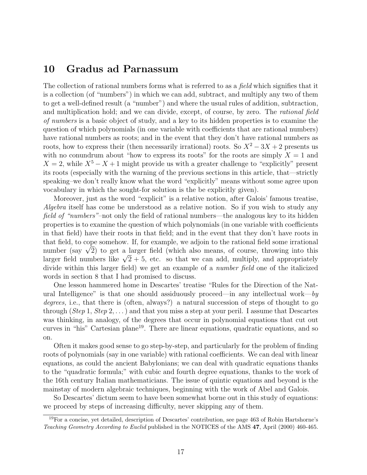### 10 Gradus ad Parnassum

The collection of rational numbers forms what is referred to as a *field* which signifies that it is a collection (of "numbers") in which we can add, subtract, and multiply any two of them to get a well-defined result (a "number") and where the usual rules of addition, subtraction, and multiplication hold; and we can divide, except, of course, by zero. The rational field of numbers is a basic object of study, and a key to its hidden properties is to examine the question of which polynomials (in one variable with coefficients that are rational numbers) have rational numbers as roots; and in the event that they don't have rational numbers as roots, how to express their (then necessarily irrational) roots. So  $X^2 - 3X + 2$  presents us with no conundrum about "how to express its roots" for the roots are simply  $X = 1$  and  $X = 2$ , while  $X<sup>5</sup> - X + 1$  might provide us with a greater challenge to "explicitly" present its roots (especially with the warning of the previous sections in this article, that—strictly speaking–we don't really know what the word "explicitly" means without some agree upon vocabulary in which the sought-for solution is the be explicitly given).

Moreover, just as the word "explicit" is a relative notion, after Galois' famous treatise, Algebra itself has come be understood as a relative notion. So if you wish to study any field of "numbers"–not only the field of rational numbers—the analogous key to its hidden properties is to examine the question of which polynomials (in one variable with coefficients in that field) have their roots in that field; and in the event that they don't have roots in that field, to cope somehow. If, for example, we adjoin to the rational field some irrational that neid, to cope somehow. If, for example, we adjoin to the rational neid some irrational<br>number (say  $\sqrt{2}$ ) to get a larger field (which also means, of course, throwing into this number (say  $\sqrt{2}$ ) to get a larger field (which also means, or course, throwing into this<br>larger field numbers like  $\sqrt{2} + 5$ , etc. so that we can add, multiply, and appropriately divide within this larger field) we get an example of a number field one of the italicized words in section 8 that I had promised to discuss.

One lesson hammered home in Descartes' treatise "Rules for the Direction of the Natural Intelligence" is that one should assiduously proceed—in any intellectual work—by degrees, i.e., that there is (often, always?) a natural succession of steps of thought to go through  $(Step 1, Step 2, ...)$  and that you miss a step at your peril. I assume that Descartes was thinking, in analogy, of the degrees that occur in polynomial equations that cut out curves in "his" Cartesian plane<sup>19</sup>. There are linear equations, quadratic equations, and so on.

Often it makes good sense to go step-by-step, and particularly for the problem of finding roots of polynomials (say in one variable) with rational coefficients. We can deal with linear equations, as could the ancient Babylonians; we can deal with quadratic equations thanks to the "quadratic formula;" with cubic and fourth degree equations, thanks to the work of the 16th century Italian mathematicians. The issue of quintic equations and beyond is the mainstay of modern algebraic techniques, beginning with the work of Abel and Galois.

So Descartes' dictum seem to have been somewhat borne out in this study of equations: we proceed by steps of increasing difficulty, never skipping any of them.

<sup>&</sup>lt;sup>19</sup>For a concise, yet detailed, description of Descartes' contribution, see page 463 of Robin Hartshorne's Teaching Geometry According to Euclid published in the NOTICES of the AMS 47, April (2000) 460-465.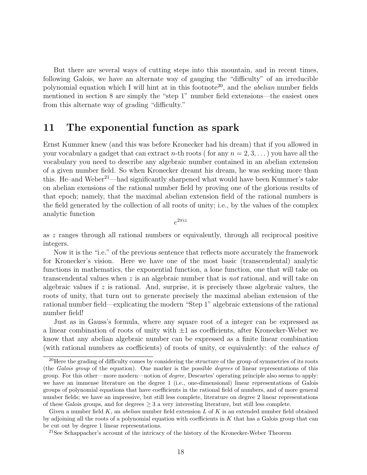But there are several ways of cutting steps into this mountain, and in recent times, following Galois, we have an alternate way of gauging the "difficulty" of an irreducible polynomial equation which I will hint at in this footnote<sup>20</sup>, and the *abelian* number fields mentioned in section 8 are simply the "step 1" number field extensions—the easiest ones from this alternate way of grading "difficulty."

### 11 The exponential function as spark

Ernst Kummer knew (and this was before Kronecker had his dream) that if you allowed in your vocabulary a gadget that can extract n-th roots ( for any  $n = 2, 3, \ldots$  ) you have all the vocabulary you need to describe any algebraic number contained in an abelian extension of a given number field. So when Kronecker dreamt his dream, he was seeking more than this. He–and Weber<sup>21</sup>—had significantly sharpened what would have been Kummer's take on abelian exensions of the rational number field by proving one of the glorious results of that epoch; namely, that the maximal abelian extension field of the rational numbers is the field generated by the collection of all roots of unity; i.e., by the values of the complex analytic function

 $e^{2\pi i z}$ 

as z ranges through all rational numbers or equivalently, through all reciprocal positive integers.

Now it is the "i.e." of the previous sentence that reflects more accurately the framework for Kronecker's vision. Here we have one of the most basic (transcendental) analytic functions in mathematics, the exponential function, a lone function, one that will take on transcendental values when z is an algebraic number that is *not* rational, and will take on algebraic values if  $z$  is rational. And, surprise, it is precisely those algebraic values, the roots of unity, that turn out to generate precisely the maximal abelian extension of the rational number field—explicating the modern "Step 1" algebraic extensions of the rational number field!

Just as in Gauss's formula, where any square root of a integer can be expressed as a linear combination of roots of unity with  $\pm 1$  as coefficients, after Kronecker-Weber we know that any abelian algebraic number can be expressed as a finite linear combination (with rational numbers as coefficients) of roots of unity, or equivalently: of the values of

<sup>21</sup>See Schappacher's account of the intricacy of the history of the Kronecker-Weber Theorem

<sup>&</sup>lt;sup>20</sup>Here the grading of difficulty comes by considering the structure of the group of symmetries of its roots (the Galois group of the equation). One marker is the possible degrees of linear representations of this group. For this other—more modern—notion of degree, Descartes' operating principle also seems to apply: we have an immense literature on the degree 1 (i.e., one-dimensional) linear representations of Galois groups of polynomial equations that have coefficients in the rational field of numbers, and of more general number fields; we have an impressive, but still less complete, literature on degree 2 linear representations of these Galois groups, and for degrees  $\geq$  3 a very interesting literature, but still less complete.

Given a number field  $K$ , an *abelian* number field extension  $L$  of  $K$  is an extended number field obtained by adjoining all the roots of a polynomial equation with coefficients in  $K$  that has a Galois group that can be cut out by degree 1 linear representations.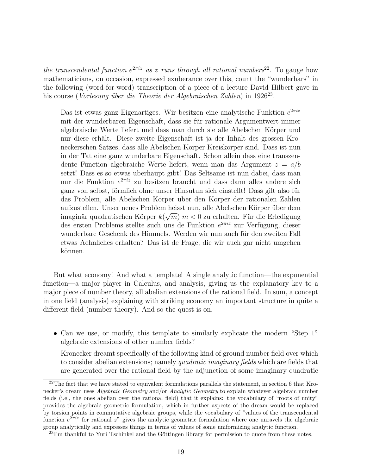the transcendental function  $e^{2\pi i z}$  as z runs through all rational numbers<sup>22</sup>. To gauge how mathematicians, on occasion, expressed exuberance over this, count the "wunderbars" in the following (word-for-word) transcription of a piece of a lecture David Hilbert gave in his course (*Vorlesung über die Theorie der Algebraischen Zahlen*) in 1926<sup>23</sup>.

Das ist etwas ganz Eigenartiges. Wir besitzen eine analytische Funktion  $e^{2\pi i z}$ mit der wunderbaren Eigenschaft, dass sie für rationale Argumentwert immer algebraische Werte liefert und dass man durch sie alle Abelschen Körper und nur diese erhält. Diese zweite Eigenschaft ist ja der Inhalt des grossen Kroneckerschen Satzes, dass alle Abelschen Körper Kreiskörper sind. Dass ist nun in der Tat eine ganz wunderbare Eigenschaft. Schon allein dass eine transzendente Function algebraiche Werte liefert, wenn man das Argument  $z = a/b$ setzt! Dass es so etwas überhaupt gibt! Das Seltsame ist nun dabei, dass man nur die Funktion  $e^{2\pi i z}$  zu besitzen braucht und dass dann alles andere sich ganz von selbst, förmlich ohne unser Hinsutun sich einstellt! Dass gilt also für das Problem, alle Abelschen Körper über den Körper der rationalen Zahlen aufzustellen. Unser neues Problem heisst nun, alle Abelschen Körper über dem imaginär quadratischen Körper  $k(\sqrt{m}) \; m < 0$  zu erhalten. Für die Erledigung des ersten Problems stellte such uns de Funktion  $e^{2\pi i z}$  zur Verfügung, dieser wunderbare Geschenk des Himmels. Werden wir nun auch für den zweiten Fall etwas Aehnliches erhalten? Das ist de Frage, die wir auch gar nicht umgehen können.

But what economy! And what a template! A single analytic function—the exponential function—a major player in Calculus, and analysis, giving us the explanatory key to a major piece of number theory, all abelian extensions of the rational field. In sum, a concept in one field (analysis) explaining with striking economy an important structure in quite a different field (number theory). And so the quest is on.

• Can we use, or modify, this template to similarly explicate the modern "Step 1" algebraic extensions of other number fields?

Kronecker dreamt specifically of the following kind of ground number field over which to consider abelian extensions; namely *quadratic imaginary fields* which are fields that are generated over the rational field by the adjunction of some imaginary quadratic

 $22$ The fact that we have stated to equivalent formulations parallels the statement, in section 6 that Kronecker's dream uses *Algebraic Geometry* and/or *Analytic Geometry* to explain whatever algebraic number fields (i.e., the ones abelian over the rational field) that it explains: the vocabulary of "roots of unity" provides the algebraic geometric formulation, which in further aspects of the dream would be replaced by torsion points in commutative algebraic groups, while the vocabulary of "values of the transcendental function  $e^{2\pi i z}$  for rational z" gives the analytic geometric formulation where one unravels the algebraic group analytically and expresses things in terms of values of some uniformizing analytic function.

 $^{23}$ I'm thankful to Yuri Tschinkel and the Göttingen library for permission to quote from these notes.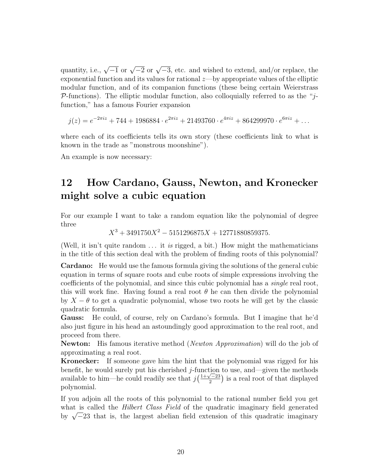quantity, i.e.,  $\sqrt{-1}$  or  $\sqrt{-2}$  or  $\sqrt{-3}$ , etc. and wished to extend, and/or replace, the exponential function and its values for rational  $z$ —by appropriate values of the elliptic modular function, and of its companion functions (these being certain Weierstrass  $\mathcal{P}\text{-}functions$ ). The elliptic modular function, also colloquially referred to as the "jfunction," has a famous Fourier expansion

$$
j(z) = e^{-2\pi i z} + 744 + 1986884 \cdot e^{2\pi i z} + 21493760 \cdot e^{4\pi i z} + 864299970 \cdot e^{6\pi i z} + \dots
$$

where each of its coefficients tells its own story (these coefficients link to what is known in the trade as "monstrous moonshine").

An example is now necessary:

# 12 How Cardano, Gauss, Newton, and Kronecker might solve a cubic equation

For our example I want to take a random equation like the polynomial of degree three

 $X^3 + 3491750X^2 - 5151296875X + 12771880859375.$ 

(Well, it isn't quite random  $\dots$  it is rigged, a bit.) How might the mathematicians in the title of this section deal with the problem of finding roots of this polynomial?

Cardano: He would use the famous formula giving the solutions of the general cubic equation in terms of square roots and cube roots of simple expressions involving the coefficients of the polynomial, and since this cubic polynomial has a single real root, this will work fine. Having found a real root  $\theta$  he can then divide the polynomial by  $X - \theta$  to get a quadratic polynomial, whose two roots he will get by the classic quadratic formula.

Gauss: He could, of course, rely on Cardano's formula. But I imagine that he'd also just figure in his head an astoundingly good approximation to the real root, and proceed from there.

Newton: His famous iterative method (Newton Approximation) will do the job of approximating a real root.

Kronecker: If someone gave him the hint that the polynomial was rigged for his benefit, he would surely put his cherished  $j$ -function to use, and—given the methods benefit, he would suffly put instant entrising *j*-function<br>available to him—he could readily see that  $j(\frac{1+\sqrt{-23}}{2})$  $\frac{\sqrt{-23}}{2}$ ) is a real root of that displayed polynomial.

If you adjoin all the roots of this polynomial to the rational number field you get what is called the *Hilbert Class Field* of the quadratic imaginary field generated what is called the *nuvert* Class Field of the quadratic imaginary field generated<br>by  $\sqrt{-23}$  that is, the largest abelian field extension of this quadratic imaginary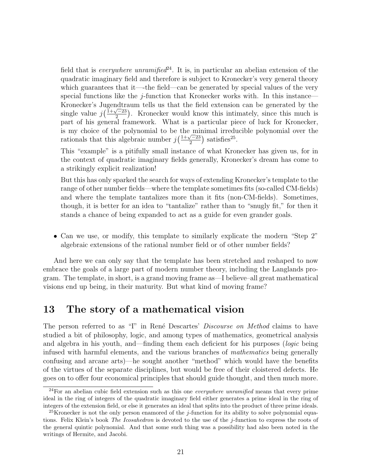field that is *everywhere unramified*<sup>24</sup>. It is, in particular an abelian extension of the quadratic imaginary field and therefore is subject to Kronecker's very general theory which guarantees that it—-the field—can be generated by special values of the very special functions like the j-function that Kronecker works with. In this instance— Kronecker's Jugendtraum tells us that the field extension can be generated by the Single value  $j\left(\frac{1+\sqrt{-23}}{2}\right)$  $\frac{\sqrt{2}}{2}$ ). Kronecker would know this intimately, since this much is part of his general framework. What is a particular piece of luck for Kronecker, is my choice of the polynomial to be the minimal irreducible polynomial over the is my choice of the polynomial to be the minimal to be the minimal.  $\frac{\sqrt{-23}}{2}$ ) satisfies<sup>25</sup>.

This "example" is a pitifully small instance of what Kronecker has given us, for in the context of quadratic imaginary fields generally, Kronecker's dream has come to a strikingly explicit realization!

But this has only sparked the search for ways of extending Kronecker's template to the range of other number fields—where the template sometimes fits (so-called CM-fields) and where the template tantalizes more than it fits (non-CM-fields). Sometimes, though, it is better for an idea to "tantalize" rather than to "snugly fit," for then it stands a chance of being expanded to act as a guide for even grander goals.

• Can we use, or modify, this template to similarly explicate the modern "Step 2" algebraic extensions of the rational number field or of other number fields?

And here we can only say that the template has been stretched and reshaped to now embrace the goals of a large part of modern number theory, including the Langlands program. The template, in short, is a grand moving frame as—I believe–all great mathematical visions end up being, in their maturity. But what kind of moving frame?

## 13 The story of a mathematical vision

The person referred to as "I" in René Descartes' Discourse on Method claims to have studied a bit of philosophy, logic, and among types of mathematics, geometrical analysis and algebra in his youth, and—finding them each deficient for his purposes (*logic* being infused with harmful elements, and the various branches of mathematics being generally confusing and arcane arts)—he sought another "method" which would have the benefits of the virtues of the separate disciplines, but would be free of their cloistered defects. He goes on to offer four economical principles that should guide thought, and then much more.

<sup>&</sup>lt;sup>24</sup>For an abelian cubic field extension such as this one *everywhere unramified* means that every prime ideal in the ring of integers of the quadratic imaginary field either generates a prime ideal in the ring of integers of the extension field, or else it generates an ideal that splits into the product of three prime ideals.

<sup>&</sup>lt;sup>25</sup>Kronecker is not the only person enamored of the *j*-function for its ability to solve polynomial equations. Felix Klein's book The Icosahedron is devoted to the use of the j-function to express the roots of the general quintic polynomial. And that some such thing was a possibility had also been noted in the writings of Hermite, and Jacobi.